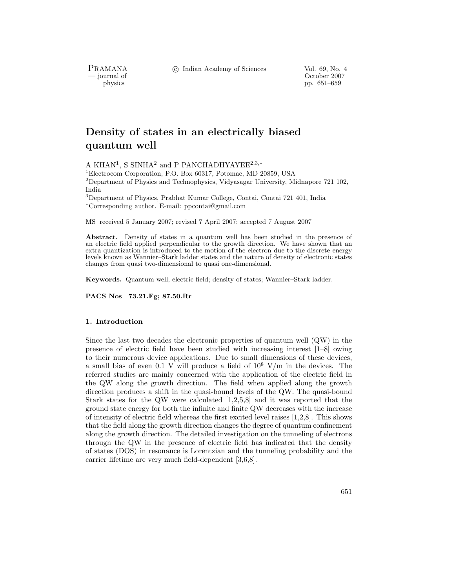c Indian Academy of Sciences Vol. 69, No. 4

PRAMANA<br>— journal of

urnal of Corollace Corollace Corollace Corollace Corollace Corollace Corollace Corollace Corollace Corollace Corollace Corollace Corollace Corollace Corollace Corollace Corollace Corollace Corollace Corollace Corollace Cor physics pp. 651–659

# **Density of states in an electrically biased quantum well**

A KHAN<sup>1</sup>, S SINHA<sup>2</sup> and P PANCHADHYAYEE<sup>2,3,∗</sup>

<sup>1</sup>Electrocom Corporation, P.O. Box 60317, Potomac, MD 20859, USA

 $2$ Department of Physics and Technophysics, Vidyasagar University, Midnapore 721 102, India

<sup>3</sup>Department of Physics, Prabhat Kumar College, Contai, Contai 721 401, India <sup>∗</sup>Corresponding author. E-mail: ppcontai@gmail.com

MS received 5 January 2007; revised 7 April 2007; accepted 7 August 2007

Abstract. Density of states in a quantum well has been studied in the presence of an electric field applied perpendicular to the growth direction. We have shown that an extra quantization is introduced to the motion of the electron due to the discrete energy levels known as Wannier–Stark ladder states and the nature of density of electronic states changes from quasi two-dimensional to quasi one-dimensional.

**Keywords.** Quantum well; electric field; density of states; Wannier–Stark ladder.

**PACS Nos 73.21.Fg; 87.50.Rr**

# **1. Introduction**

Since the last two decades the electronic properties of quantum well (QW) in the presence of electric field have been studied with increasing interest [1–8] owing to their numerous device applications. Due to small dimensions of these devices, a small bias of even 0.1 V will produce a field of  $10^8$  V/m in the devices. The referred studies are mainly concerned with the application of the electric field in the QW along the growth direction. The field when applied along the growth direction produces a shift in the quasi-bound levels of the QW. The quasi-bound Stark states for the QW were calculated [1,2,5,8] and it was reported that the ground state energy for both the infinite and finite QW decreases with the increase of intensity of electric field whereas the first excited level raises [1,2,8]. This shows that the field along the growth direction changes the degree of quantum confinement along the growth direction. The detailed investigation on the tunneling of electrons through the QW in the presence of electric field has indicated that the density of states (DOS) in resonance is Lorentzian and the tunneling probability and the carrier lifetime are very much field-dependent [3,6,8].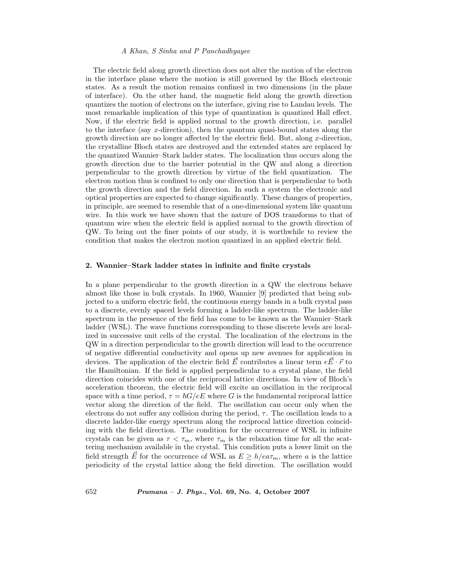# *A Khan, S Sinha and P Panchadhyayee*

The electric field along growth direction does not alter the motion of the electron in the interface plane where the motion is still governed by the Bloch electronic states. As a result the motion remains confined in two dimensions (in the plane of interface). On the other hand, the magnetic field along the growth direction quantizes the motion of electrons on the interface, giving rise to Landau levels. The most remarkable implication of this type of quantization is quantized Hall effect. Now, if the electric field is applied normal to the growth direction, i.e. parallel to the interface (say x-direction), then the quantum quasi-bound states along the growth direction are no longer affected by the electric field. But, along x-direction, the crystalline Bloch states are destroyed and the extended states are replaced by the quantized Wannier–Stark ladder states. The localization thus occurs along the growth direction due to the barrier potential in the QW and along a direction perpendicular to the growth direction by virtue of the field quantization. The electron motion thus is confined to only one direction that is perpendicular to both the growth direction and the field direction. In such a system the electronic and optical properties are expected to change significantly. These changes of properties, in principle, are seemed to resemble that of a one-dimensional system like quantum wire. In this work we have shown that the nature of DOS transforms to that of quantum wire when the electric field is applied normal to the growth direction of QW. To bring out the finer points of our study, it is worthwhile to review the condition that makes the electron motion quantized in an applied electric field.

## **2. Wannier–Stark ladder states in infinite and finite crystals**

In a plane perpendicular to the growth direction in a QW the electrons behave almost like those in bulk crystals. In 1960, Wannier [9] predicted that being subjected to a uniform electric field, the continuous energy bands in a bulk crystal pass to a discrete, evenly spaced levels forming a ladder-like spectrum. The ladder-like spectrum in the presence of the field has come to be known as the Wannier–Stark ladder (WSL). The wave functions corresponding to these discrete levels are localized in successive unit cells of the crystal. The localization of the electrons in the QW in a direction perpendicular to the growth direction will lead to the occurrence of negative differential conductivity and opens up new avenues for application in devices. The application of the electric field  $\vec{E}$  contributes a linear term  $e\vec{E} \cdot \vec{r}$  to the Hamiltonian. If the field is applied perpendicular to a crystal plane, the field devices. The application of the electric field  $E$  contributes a linear term  $eE \cdot r$  to the Hamiltonian. If the field is applied perpendicular to a crystal plane, the field direction coincides with one of the reciprocal lattice directions. In view of Bloch's acceleration theorem, the electric field will excite an oscillation in the reciprocal space with a time period,  $\tau = \hbar G/eE$  where G is the fundamental reciprocal lattice<br>vector along the direction of the field. The oscillation can occur only when the vector along the direction of the field. The oscillation can occur only when the electrons do not suffer any collision during the period,  $\tau$ . The oscillation leads to a discrete ladder-like energy spectrum along the reciprocal lattice direction coinciding with the field direction. The condition for the occurrence of WSL in infinite crystals can be given as  $\tau < \tau_m$ , where  $\tau_m$  is the relaxation time for all the scattering mechanism available in the crystal. This condition puts a lower limit on the field strength E for the occurrence of WSL as  $E \ge h/ea\tau_m$ , where a is the lattice<br>periodicity of the crystal lattice along the field direction. The oscillation would periodicity of the crystal lattice along the field direction. The oscillation would

652 *Pramana – J. Phys.,* **Vol. 69, No. 4, October 2007**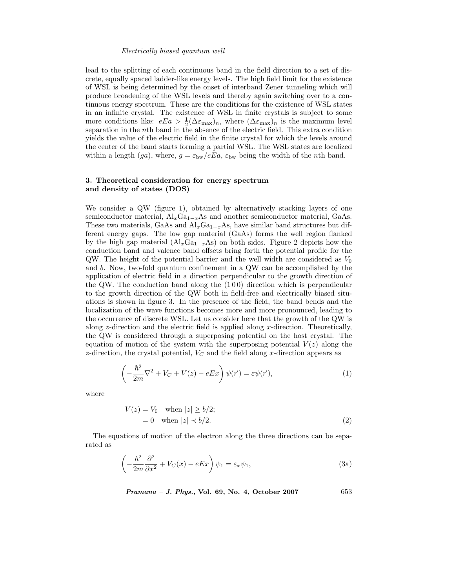lead to the splitting of each continuous band in the field direction to a set of discrete, equally spaced ladder-like energy levels. The high field limit for the existence of WSL is being determined by the onset of interband Zener tunneling which will produce broadening of the WSL levels and thereby again switching over to a continuous energy spectrum. These are the conditions for the existence of WSL states in an infinite crystal. The existence of WSL in finite crystals is subject to some more conditions like:  $eEa > \frac{1}{2}(\Delta \varepsilon_{\text{max}})_n$ , where  $(\Delta \varepsilon_{\text{max}})_n$  is the maximum level<br>separation in the *n*<sup>th</sup> hand in the absence of the electric field. This extra condition separation in the nth band in the absence of the electric field. This extra condition yields the value of the electric field in the finite crystal for which the levels around the center of the band starts forming a partial WSL. The WSL states are localized within a length (ga), where,  $g = \varepsilon_{bw}/eE_a$ ,  $\varepsilon_{bw}$  being the width of the nth band.

# **3. Theoretical consideration for energy spectrum and density of states (DOS)**

We consider a QW (figure 1), obtained by alternatively stacking layers of one semiconductor material,  $Al_xGa_{1-x}As$  and another semiconductor material, GaAs. These two materials, GaAs and  $\text{Al}_x\text{Ga}_{1-x}\text{As}$ , have similar band structures but different energy gaps. The low gap material (GaAs) forms the well region flanked by the high gap material  $(A\vert_xGa_{1-x}As)$  on both sides. Figure 2 depicts how the conduction band and valence band offsets bring forth the potential profile for the QW. The height of the potential barrier and the well width are considered as  $V_0$ and b. Now, two-fold quantum confinement in a QW can be accomplished by the application of electric field in a direction perpendicular to the growth direction of the QW. The conduction band along the  $(100)$  direction which is perpendicular to the growth direction of the QW both in field-free and electrically biased situations is shown in figure 3. In the presence of the field, the band bends and the localization of the wave functions becomes more and more pronounced, leading to the occurrence of discrete WSL. Let us consider here that the growth of the QW is along  $z$ -direction and the electric field is applied along  $x$ -direction. Theoretically, the QW is considered through a superposing potential on the host crystal. The equation of motion of the system with the superposing potential  $V(z)$  along the z-direction, the crystal potential,  $V_C$  and the field along x-direction appears as

$$
\left(-\frac{\hbar^2}{2m}\nabla^2 + V_C + V(z) - eEx\right)\psi(\vec{r}) = \varepsilon\psi(\vec{r}),\tag{1}
$$

where

$$
V(z) = V_0 \quad \text{when } |z| \ge b/2; = 0 \quad \text{when } |z| \prec b/2.
$$
 (2)

The equations of motion of the electron along the three directions can be separated as

$$
\left(-\frac{\hbar^2}{2m}\frac{\partial^2}{\partial x^2} + V_C(x) - eEx\right)\psi_1 = \varepsilon_x \psi_1,\tag{3a}
$$

*Pramana – J. Phys.,* **Vol. 69, No. 4, October 2007** 653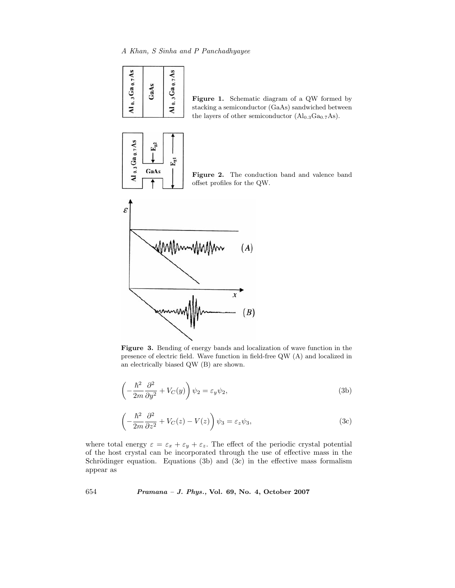信



GaAs

 $A10.3$  Ga  $0.7$  As

**Figure 1.** Schematic diagram of a QW formed by stacking a semiconductor (GaAs) sandwiched between the layers of other semiconductor  $(Al_{0.3}Ga_{0.7}As)$ .





**Figure 3.** Bending of energy bands and localization of wave function in the presence of electric field. Wave function in field-free QW (A) and localized in an electrically biased QW (B) are shown.

$$
\left(-\frac{\hbar^2}{2m}\frac{\partial^2}{\partial y^2} + V_C(y)\right)\psi_2 = \varepsilon_y \psi_2,\tag{3b}
$$

$$
\left(-\frac{\hbar^2}{2m}\frac{\partial^2}{\partial z^2} + V_C(z) - V(z)\right)\psi_3 = \varepsilon_z \psi_3,\tag{3c}
$$

where total energy  $\varepsilon = \varepsilon_x + \varepsilon_y + \varepsilon_z$ . The effect of the periodic crystal potential of the host crystal can be incorporated through the use of effective mass in the Schrödinger equation. Equations (3b) and (3c) in the effective mass formalism appear as

654 *Pramana – J. Phys.,* **Vol. 69, No. 4, October 2007**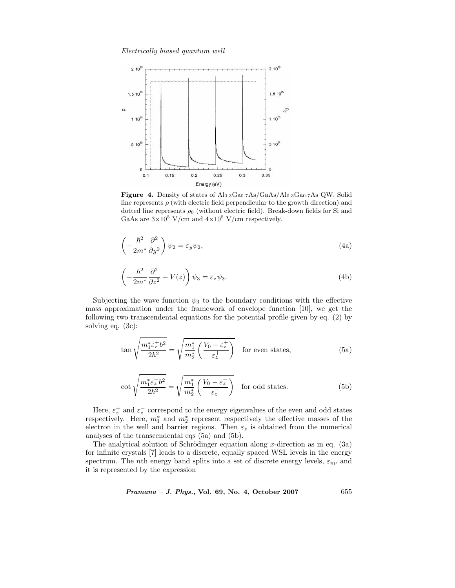

**Figure 4.** Density of states of  $\text{Al}_{0.3}\text{Ga}_{0.7}\text{As}/\text{Ga}_{0.3}\text{Ga}_{0.7}\text{As}$  QW. Solid line represents  $\rho$  (with electric field perpendicular to the growth direction) and dotted line represents  $\rho_0$  (without electric field). Break-down fields for Si and GaAs are  $3\times10^5$  V/cm and  $4\times10^5$  V/cm respectively.

$$
\left(-\frac{\hbar^2}{2m^*}\frac{\partial^2}{\partial y^2}\right)\psi_2 = \varepsilon_y \psi_2,\tag{4a}
$$

$$
\left(-\frac{\hbar^2}{2m^*}\frac{\partial^2}{\partial z^2} - V(z)\right)\psi_3 = \varepsilon_z \psi_3.
$$
\n(4b)

Subjecting the wave function  $\psi_3$  to the boundary conditions with the effective mass approximation under the framework of envelope function [10], we get the following two transcendental equations for the potential profile given by eq. (2) by solving eq. (3c):

$$
\tan\sqrt{\frac{m_1^*\varepsilon_z^+b^2}{2\hbar^2}} = \sqrt{\frac{m_1^*}{m_2^*}\left(\frac{V_0 - \varepsilon_z^+}{\varepsilon_z^+}\right)} \quad \text{for even states,} \tag{5a}
$$

$$
\cot\sqrt{\frac{m_1^*\varepsilon_z^{-}b^2}{2\hbar^2}} = \sqrt{\frac{m_1^*}{m_2^*}\left(\frac{V_0 - \varepsilon_z^{-}}{\varepsilon_z^{-}}\right)} \quad \text{for odd states.} \tag{5b}
$$

Here,  $\varepsilon_z^+$  and  $\varepsilon_z^-$  correspond to the energy eigenvalues of the even and odd states<br>spectively. Here,  $m^*$  and  $m^*$  represent respectively the effective masses of the respectively. Here,  $m_1^*$  and  $m_2^*$  represent respectively the effective masses of the electron in the well and barrier regions. Then  $\varepsilon$  is obtained from the numerical electron in the well and barrier regions. Then  $\varepsilon_z$  is obtained from the numerical analyses of the transcendental eqs (5a) and (5b).

The analytical solution of Schrödinger equation along x-direction as in eq.  $(3a)$ for infinite crystals [7] leads to a discrete, equally spaced WSL levels in the energy spectrum. The *n*th energy band splits into a set of discrete energy levels,  $\varepsilon_{n\nu}$  and it is represented by the expression

*Pramana – J. Phys.,* **Vol. 69, No. 4, October 2007** 655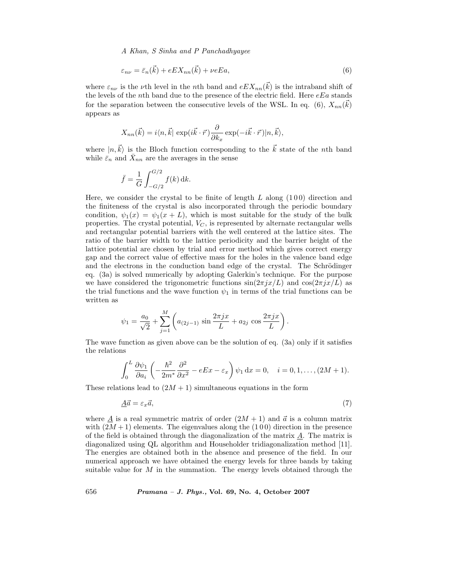*A Khan, S Sinha and P Panchadhyayee*

$$
\varepsilon_{n\nu} = \bar{\varepsilon}_n(\vec{k}) + eEX_{nn}(\vec{k}) + \nu eEa,\tag{6}
$$

where  $\varepsilon_{n\nu}$  is the *v*th level in the *n*th band and  $eEX_{nn}(k)$  is the intraband shift of<br>the levels of the *n*th band due to the presence of the electric field. Here e Eq stands the levels of the nth band due to the presence of the electric field. Here  $eE_a$  stands for the separation between the consecutive levels of the WSL. In eq. (6),  $X_{nn}(k)$ appears as

$$
X_{nn}(\vec{k}) = i\langle n, \vec{k}| \exp(i\vec{k}\cdot\vec{r})\frac{\partial}{\partial k_x} \exp(-i\vec{k}\cdot\vec{r})|n, \vec{k}\rangle,
$$

where  $|n,k\rangle$  is the Bloch function corresponding to the k state of the *n*th band<br>while  $\bar{\varepsilon}$  and  $\bar{X}$  are the averages in the sense while  $\bar{\varepsilon}_n$  and  $\bar{X}_{nn}$  are the averages in the sense

$$
\bar{f} = \frac{1}{G} \int_{-G/2}^{G/2} f(k) \, \mathrm{d}k.
$$

Here, we consider the crystal to be finite of length  $L$  along  $(100)$  direction and the finiteness of the crystal is also incorporated through the periodic boundary condition,  $\psi_1(x) = \psi_1(x + L)$ , which is most suitable for the study of the bulk properties. The crystal potential,  $V_C$ , is represented by alternate rectangular wells and rectangular potential barriers with the well centered at the lattice sites. The ratio of the barrier width to the lattice periodicity and the barrier height of the lattice potential are chosen by trial and error method which gives correct energy gap and the correct value of effective mass for the holes in the valence band edge and the electrons in the conduction band edge of the crystal. The Schrödinger eq. (3a) is solved numerically by adopting Galerkin's technique. For the purpose we have considered the trigonometric functions  $\sin(2\pi jx/L)$  and  $\cos(2\pi jx/L)$  as the trial functions and the wave function  $\psi_1$  in terms of the trial functions can be written as

$$
\psi_1 = \frac{a_0}{\sqrt{2}} + \sum_{j=1}^{M} \left( a_{(2j-1)} \sin \frac{2\pi jx}{L} + a_{2j} \cos \frac{2\pi jx}{L} \right).
$$

The wave function as given above can be the solution of eq. (3a) only if it satisfies the relations

$$
\int_0^L \frac{\partial \psi_1}{\partial a_i} \left( -\frac{\hbar^2}{2m^*} \frac{\partial^2}{\partial x^2} - eEx - \varepsilon_x \right) \psi_1 \, dx = 0, \quad i = 0, 1, \dots, (2M + 1).
$$

These relations lead to  $(2M + 1)$  simultaneous equations in the form

$$
\underline{A}\vec{a} = \varepsilon_x \vec{a},\tag{7}
$$

where  $\underline{A}$  is a real symmetric matrix of order  $(2M + 1)$  and  $\vec{a}$  is a column matrix<br>with  $(2M + 1)$  elements. The eigenvalues along the (1.0.0) direction in the presence with  $(2M + 1)$  elements. The eigenvalues along the  $(100)$  direction in the presence of the field is obtained through the diagonalization of the matrix  $\vec{A}$ . The matrix is diagonalized using QL algorithm and Householder tridiagonalization method [11]. The energies are obtained both in the absence and presence of the field. In our numerical approach we have obtained the energy levels for three bands by taking suitable value for  $M$  in the summation. The energy levels obtained through the

656 *Pramana – J. Phys.,* **Vol. 69, No. 4, October 2007**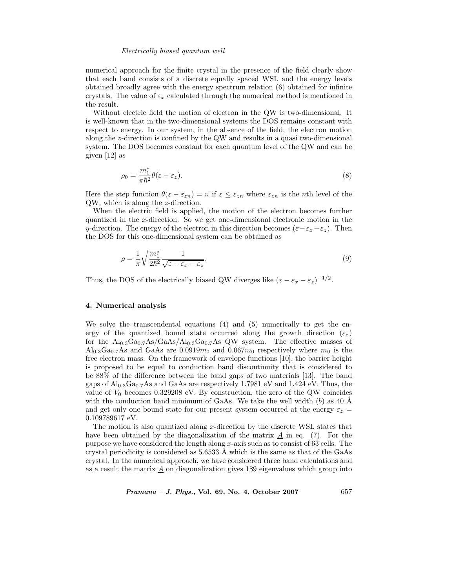numerical approach for the finite crystal in the presence of the field clearly show that each band consists of a discrete equally spaced WSL and the energy levels obtained broadly agree with the energy spectrum relation (6) obtained for infinite crystals. The value of  $\varepsilon_x$  calculated through the numerical method is mentioned in the result.

Without electric field the motion of electron in the QW is two-dimensional. It is well-known that in the two-dimensional systems the DOS remains constant with respect to energy. In our system, in the absence of the field, the electron motion along the z-direction is confined by the QW and results in a quasi two-dimensional system. The DOS becomes constant for each quantum level of the QW and can be given [12] as

$$
\rho_0 = \frac{m_1^*}{\pi \hbar^2} \theta(\varepsilon - \varepsilon_z). \tag{8}
$$

Here the step function  $\theta(\varepsilon - \varepsilon_{zn}) = n$  if  $\varepsilon \leq \varepsilon_{zn}$  where  $\varepsilon_{zn}$  is the *n*th level of the QW, which is along the z-direction.

When the electric field is applied, the motion of the electron becomes further quantized in the x-direction. So we get one-dimensional electronic motion in the y-direction. The energy of the electron in this direction becomes  $(\varepsilon-\varepsilon_x-\varepsilon_z)$ . Then the DOS for this one-dimensional system can be obtained as

$$
\rho = \frac{1}{\pi} \sqrt{\frac{m_1^*}{2\hbar^2}} \frac{1}{\sqrt{\varepsilon - \varepsilon_x - \varepsilon_z}}.
$$
\n(9)

Thus, the DOS of the electrically biased QW diverges like  $(\varepsilon - \varepsilon_x - \varepsilon_z)^{-1/2}$ .

# **4. Numerical analysis**

We solve the transcendental equations  $(4)$  and  $(5)$  numerically to get the energy of the quantized bound state occurred along the growth direction  $(\varepsilon_z)$ for the  $\text{Al}_{0.3}\text{Ga}_{0.7}\text{As}/\text{GaAs}/\text{Al}_{0.3}\text{Ga}_{0.7}\text{As}$  QW system. The effective masses of  $\text{Al}_{0.3}\text{Ga}_{0.7}\text{As}$  and  $\text{GaAs}$  are  $0.0919m_0$  and  $0.067m_0$  respectively where  $m_0$  is the free electron mass. On the framework of envelope functions [10], the barrier height is proposed to be equal to conduction band discontinuity that is considered to be 88% of the difference between the band gaps of two materials [13]. The band gaps of  $Al_{0.3}Ga_{0.7}As$  and  $GaAs$  are respectively 1.7981 eV and 1.424 eV. Thus, the value of  $V_0$  becomes 0.329208 eV. By construction, the zero of the QW coincides with the conduction band minimum of GaAs. We take the well width  $(b)$  as 40 Å and get only one bound state for our present system occurred at the energy  $\varepsilon_z$  = 0.109789617 eV.

The motion is also quantized along  $x$ -direction by the discrete WSL states that have been obtained by the diagonalization of the matrix  $A$  in eq. (7). For the purpose we have considered the length along  $x$ -axis such as to consist of 63 cells. The crystal periodicity is considered as  $5.6533 \text{ Å}$  which is the same as that of the GaAs crystal. In the numerical approach, we have considered three band calculations and as a result the matrix  $\underline{A}$  on diagonalization gives 189 eigenvalues which group into

*Pramana – J. Phys.,* **Vol. 69, No. 4, October 2007** 657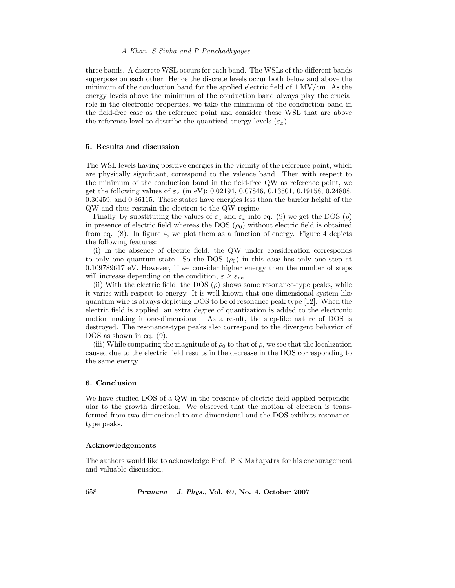# *A Khan, S Sinha and P Panchadhyayee*

three bands. A discrete WSL occurs for each band. The WSLs of the different bands superpose on each other. Hence the discrete levels occur both below and above the minimum of the conduction band for the applied electric field of 1 MV/cm. As the energy levels above the minimum of the conduction band always play the crucial role in the electronic properties, we take the minimum of the conduction band in the field-free case as the reference point and consider those WSL that are above the reference level to describe the quantized energy levels  $(\varepsilon_x)$ .

## **5. Results and discussion**

The WSL levels having positive energies in the vicinity of the reference point, which are physically significant, correspond to the valence band. Then with respect to the minimum of the conduction band in the field-free QW as reference point, we get the following values of  $\varepsilon_x$  (in eV): 0.02194, 0.07846, 0.13501, 0.19158, 0.24808, 0.30459, and 0.36115. These states have energies less than the barrier height of the QW and thus restrain the electron to the QW regime.

Finally, by substituting the values of  $\varepsilon_z$  and  $\varepsilon_x$  into eq. (9) we get the DOS ( $\rho$ ) in presence of electric field whereas the DOS  $(\rho_0)$  without electric field is obtained from eq. (8). In figure 4, we plot them as a function of energy. Figure 4 depicts the following features:

(i) In the absence of electric field, the QW under consideration corresponds to only one quantum state. So the DOS  $(\rho_0)$  in this case has only one step at 0.109789617 eV. However, if we consider higher energy then the number of steps will increase depending on the condition,  $\varepsilon \geq \varepsilon_{zn}$ .

(ii) With the electric field, the DOS  $(\rho)$  shows some resonance-type peaks, while it varies with respect to energy. It is well-known that one-dimensional system like quantum wire is always depicting DOS to be of resonance peak type [12]. When the electric field is applied, an extra degree of quantization is added to the electronic motion making it one-dimensional. As a result, the step-like nature of DOS is destroyed. The resonance-type peaks also correspond to the divergent behavior of DOS as shown in eq.  $(9)$ .

(iii) While comparing the magnitude of  $\rho_0$  to that of  $\rho$ , we see that the localization caused due to the electric field results in the decrease in the DOS corresponding to the same energy.

#### **6. Conclusion**

We have studied DOS of a QW in the presence of electric field applied perpendicular to the growth direction. We observed that the motion of electron is transformed from two-dimensional to one-dimensional and the DOS exhibits resonancetype peaks.

#### **Acknowledgements**

The authors would like to acknowledge Prof. P K Mahapatra for his encouragement and valuable discussion.